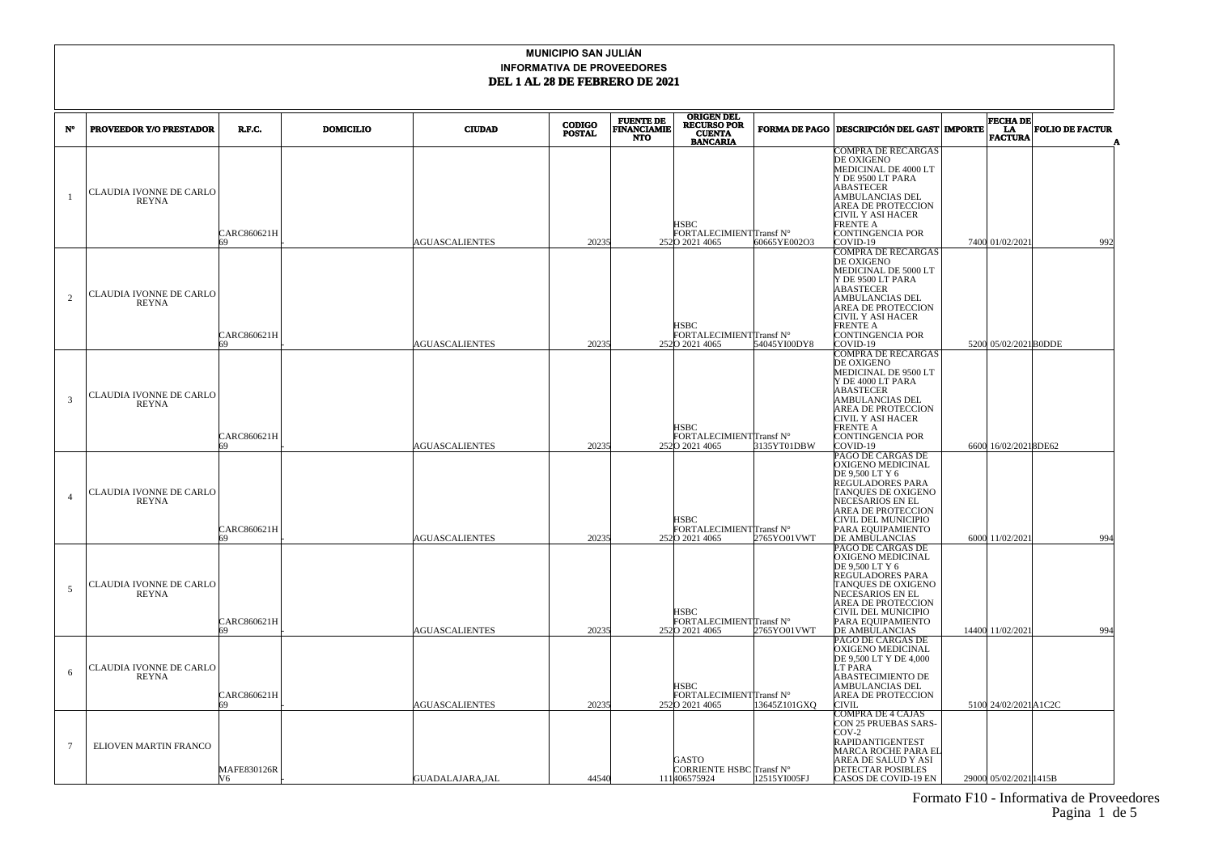| $N^{\circ}$    | <b>PROVEEDOR Y/O PRESTADOR</b>          | R.F.C.            | <b>DOMICILIO</b> | <b>CIUDAD</b>         | <b>CODIGO</b><br><b>POSTAL</b> | <b>FUENTE DE</b><br><b>FINANCIAMIE</b><br><b>NTO</b> | <b>ORIGEN DEL</b><br><b>RECURSO POR</b><br><b>CUENTA</b><br><b>BANCARIA</b> |              | <b>FORMA DE PAGO DESCRIPCIÓN DEL GAST MPORTE</b>                                                                                                                                                            | <b>FECHA DE</b><br>LA<br><b>FACTURA</b> | <b>FOLIO DE FACTUR</b> |     |
|----------------|-----------------------------------------|-------------------|------------------|-----------------------|--------------------------------|------------------------------------------------------|-----------------------------------------------------------------------------|--------------|-------------------------------------------------------------------------------------------------------------------------------------------------------------------------------------------------------------|-----------------------------------------|------------------------|-----|
|                | CLAUDIA IVONNE DE CARLO<br>REYNA        | CARC860621H       |                  | <b>AGUASCALIENTES</b> | 20235                          |                                                      | <b>HSBC</b><br>FORTALECIMIENTTransf N°<br>2520 2021 4065                    | 60665YE002O3 | COMPRA DE RECARGAS<br>DE OXIGENO<br>MEDICINAL DE 4000 LT<br>Y DE 9500 LT PARA<br>ABASTECER<br>AMBULANCIAS DEL<br>AREA DE PROTECCION<br>CIVIL Y ASI HACER<br>FRENTE A<br>CONTINGENCIA POR<br>COVID-19        | 7400 01/02/2021                         |                        | 992 |
| $\overline{2}$ | CLAUDIA IVONNE DE CARLO<br><b>REYNA</b> | CARC860621H       |                  | <b>AGUASCALIENTES</b> | 20235                          |                                                      | HSBC<br>FORTALECIMIENTTransf N°<br>2520 2021 4065                           | 54045YI00DY8 | <b>COMPRA DE RECARGAS</b><br>DE OXIGENO<br>MEDICINAL DE 5000 LT<br>Y DE 9500 LT PARA<br>ABASTECER<br>AMBULANCIAS DEL<br>AREA DE PROTECCION<br>CIVIL Y ASI HACER<br>FRENTE A<br>CONTINGENCIA POR<br>COVID-19 | 5200 05/02/2021 B0DDE                   |                        |     |
| 3              | CLAUDIA IVONNE DE CARLO<br><b>REYNA</b> | CARC860621H       |                  | <b>AGUASCALIENTES</b> | 20235                          |                                                      | HSBC<br><b>FORTALECIMIENTITransf N°</b><br>2520 2021 4065                   | 3135YT01DBW  | COMPRA DE RECARGAS<br>DE OXIGENO<br>MEDICINAL DE 9500 LT<br>Y DE 4000 LT PARA<br>ABASTECER<br>AMBULANCIAS DEL<br>AREA DE PROTECCION<br>CIVIL Y ASI HACER<br>FRENTE A<br>CONTINGENCIA POR<br>COVID-19        | 6600 16/02/20218DE62                    |                        |     |
| $\overline{A}$ | CLAUDIA IVONNE DE CARLO<br><b>REYNA</b> | CARC860621H       |                  | <b>AGUASCALIENTES</b> | 20235                          |                                                      | <b>HSBC</b><br>FORTALECIMIENTTransf N°<br>2520 2021 4065                    | 2765YO01VWT  | PAGO DE CARGAS DE<br>OXIGENO MEDICINAL<br>DE 9,500 LT Y 6<br>REGULADORES PARA<br>TANQUES DE OXIGENO<br>NECESARIOS EN EL<br>AREA DE PROTECCION<br>CIVIL DEL MUNICIPIO<br>PARA EQUIPAMIENTO<br>DE AMBULANCIAS | 6000 11/02/2021                         |                        | 994 |
| -5             | CLAUDIA IVONNE DE CARLO<br><b>REYNA</b> | CARC860621H       |                  | <b>AGUASCALIENTES</b> | 20235                          |                                                      | HSBC<br>FORTALECIMIENTTransf N°<br>2520 2021 4065                           | 2765YO01VWT  | PAGO DE CARGAS DE<br>OXIGENO MEDICINAL<br>DE 9,500 LT Y 6<br>REGULADORES PARA<br>TANQUES DE OXIGENO<br>NECESARIOS EN EL<br>AREA DE PROTECCION<br>CIVIL DEL MUNICIPIO<br>PARA EQUIPAMIENTO<br>DE AMBULANCIAS | 14400 11/02/2021                        |                        | 994 |
| 6              | CLAUDIA IVONNE DE CARLO<br><b>REYNA</b> | CARC860621H       |                  | <b>AGUASCALIENTES</b> | 20235                          |                                                      | <b>HSBC</b><br>FORTALECIMIENTTransf N°<br>2520 2021 4065                    | 3645Z101GXO  | PAGO DE CARGAS DE<br>OXIGENO MEDICINAL<br>DE 9,500 LT Y DE 4,000<br>LT PARA<br>ABASTECIMIENTO DE<br>AMBULANCIAS DEL<br>AREA DE PROTECCION<br>CIVIL                                                          | 5100 24/02/2021 A1C2C                   |                        |     |
| -7             | ELIOVEN MARTIN FRANCO                   | MAFE830126R<br>V6 |                  | GUADALAJARA,JAL       | 44540                          |                                                      | GASTO<br>CORRIENTE HSBC Transf N°<br>111406575924                           | 12515YI005FJ | COMPRA DE 4 CAJAS<br><b>CON 25 PRUEBAS SARS-</b><br>$20V-2$<br>RAPIDANTIGENTEST<br>MARCA ROCHE PARA EL<br>AREA DE SALUD Y ASI<br>DETECTAR POSIBLES<br>CASOS DE COVID-19 EN                                  | 29000 05/02/2021 1415B                  |                        |     |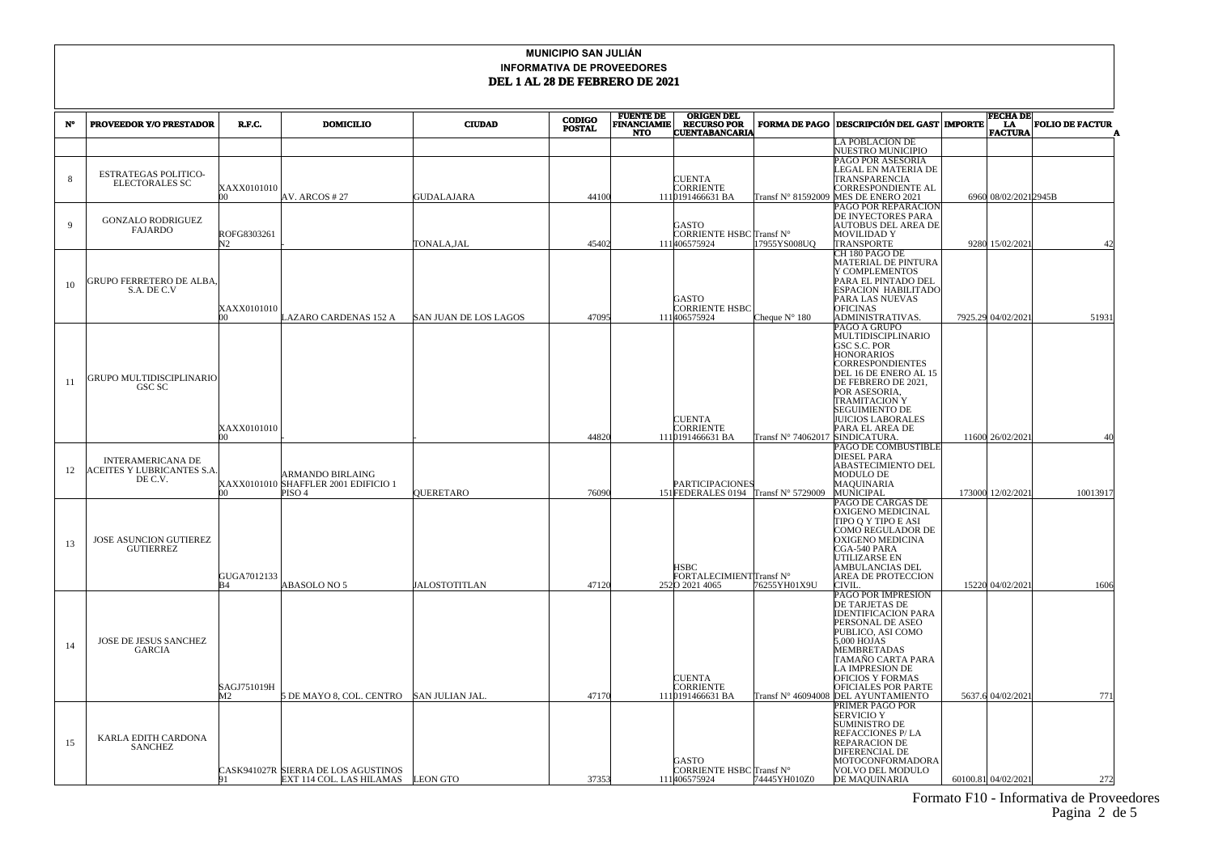|             |                                   |                   |                                                                 |                       | <b>CODIGO</b> | <b>FUENTE DE</b>                 | <b>ORIGEN DEL</b>                           |                            |                                                  | <b>FECHA DE</b>      |                        |
|-------------|-----------------------------------|-------------------|-----------------------------------------------------------------|-----------------------|---------------|----------------------------------|---------------------------------------------|----------------------------|--------------------------------------------------|----------------------|------------------------|
| $N^{\circ}$ | PROVEEDOR Y/O PRESTADOR           | R.F.C.            | <b>DOMICILIO</b>                                                | <b>CIUDAD</b>         | <b>POSTAL</b> | <b>FINANCIAMIE</b><br><b>NTO</b> | <b>RECURSO POR</b><br><b>CUENTABANCARIA</b> | <b>FORMA DE PAGO</b>       | <b>DESCRIPCIÓN DEL GAST   IMPORTE</b>            | LA<br><b>FACTURA</b> | <b>FOLIO DE FACTUR</b> |
|             |                                   |                   |                                                                 |                       |               |                                  |                                             |                            | A POBLACION DE                                   |                      |                        |
|             |                                   |                   |                                                                 |                       |               |                                  |                                             |                            | NUESTRO MUNICIPIO                                |                      |                        |
|             |                                   |                   |                                                                 |                       |               |                                  |                                             |                            | PAGO POR ASESORIA                                |                      |                        |
| 8           | <b>ESTRATEGAS POLITICO-</b>       |                   |                                                                 |                       |               |                                  | <b>CUENTA</b>                               |                            | LEGAL EN MATERIA DE<br>TRANSPARENCIA             |                      |                        |
|             | <b>ELECTORALES SC</b>             | XAXX0101010       |                                                                 |                       |               |                                  | CORRIENTE                                   |                            | CORRESPONDIENTE AL                               |                      |                        |
|             |                                   | <b>DO</b>         | AV. ARCOS #27                                                   | <b>GUDALAJARA</b>     | 44100         |                                  | 1110191466631 BA                            | Transf N° 81592009         | MES DE ENERO 2021                                | 6960 08/02/20212945B |                        |
|             |                                   |                   |                                                                 |                       |               |                                  |                                             |                            | <b>PAGO POR REPARACION</b>                       |                      |                        |
| $\mathbf Q$ | <b>GONZALO RODRIGUEZ</b>          |                   |                                                                 |                       |               |                                  | <b>GASTO</b>                                |                            | DE INYECTORES PARA<br><b>AUTOBUS DEL AREA DE</b> |                      |                        |
|             | <b>FAJARDO</b>                    | ROFG8303261       |                                                                 |                       |               |                                  | CORRIENTE HSBC Transf N°                    |                            | <b>MOVILIDAD Y</b>                               |                      |                        |
|             |                                   | N <sub>2</sub>    |                                                                 | TONALA,JAL            | 45402         |                                  | 111406575924                                | 7955YS008UQ                | TRANSPORTE                                       | 9280 15/02/202       | 42                     |
|             |                                   |                   |                                                                 |                       |               |                                  |                                             |                            | CH 180 PAGO DE                                   |                      |                        |
|             |                                   |                   |                                                                 |                       |               |                                  |                                             |                            | MATERIAL DE PINTURA<br>Y COMPLEMENTOS            |                      |                        |
|             | GRUPO FERRETERO DE ALBA.          |                   |                                                                 |                       |               |                                  |                                             |                            | PARA EL PINTADO DEL                              |                      |                        |
| 10          | S.A. DE C.V                       |                   |                                                                 |                       |               |                                  |                                             |                            | ESPACION HABILITADC                              |                      |                        |
|             |                                   | XAXX0101010       |                                                                 |                       |               |                                  | <b>GASTO</b><br>CORRIENTE HSBC              |                            | PARA LAS NUEVAS<br>OFICINAS                      |                      |                        |
|             |                                   | $\infty$          | AZARO CARDENAS 152 A                                            | SAN JUAN DE LOS LAGOS | 47095         |                                  | 111406575924                                | Cheque $N^{\circ}$ 180     | ADMINISTRATIVAS.                                 | 7925.29 04/02/2021   | 51931                  |
|             |                                   |                   |                                                                 |                       |               |                                  |                                             |                            | PAGO A GRUPO                                     |                      |                        |
|             |                                   |                   |                                                                 |                       |               |                                  |                                             |                            | MULTIDISCIPLINARIO                               |                      |                        |
|             |                                   |                   |                                                                 |                       |               |                                  |                                             |                            | GSC S.C. POR<br><b>HONORARIOS</b>                |                      |                        |
|             |                                   |                   |                                                                 |                       |               |                                  |                                             |                            | <b>CORRESPONDIENTES</b>                          |                      |                        |
|             | <b>GRUPO MULTIDISCIPLINARIO</b>   |                   |                                                                 |                       |               |                                  |                                             |                            | DEL 16 DE ENERO AL 15                            |                      |                        |
| 11          | GSC SC                            |                   |                                                                 |                       |               |                                  |                                             |                            | DE FEBRERO DE 2021,<br>POR ASESORIA.             |                      |                        |
|             |                                   |                   |                                                                 |                       |               |                                  |                                             |                            | <b>TRAMITACION Y</b>                             |                      |                        |
|             |                                   |                   |                                                                 |                       |               |                                  |                                             |                            | <b>SEGUIMIENTO DE</b>                            |                      |                        |
|             |                                   |                   |                                                                 |                       |               |                                  | <b>CUENTA</b>                               |                            | <b>JUICIOS LABORALES</b>                         |                      |                        |
|             |                                   | XAXX0101010<br>h۵ |                                                                 |                       | 44820         |                                  | <b>CORRIENTE</b><br>1110191466631 BA        | Transf N° 74062017         | PARA EL AREA DE<br>SINDICATURA.                  | 11600 26/02/202      | 40                     |
|             |                                   |                   |                                                                 |                       |               |                                  |                                             |                            | <b>PAGO DE COMBUSTIBLE</b>                       |                      |                        |
|             | <b>INTERAMERICANA DE</b>          |                   |                                                                 |                       |               |                                  |                                             |                            | DIESEL PARA                                      |                      |                        |
| 12          | <b>ACEITES Y LUBRICANTES S.A.</b> |                   |                                                                 |                       |               |                                  |                                             |                            | <b>ABASTECIMIENTO DEL</b>                        |                      |                        |
|             | DE C.V.                           |                   | <b>ARMANDO BIRLAING</b><br>XAXX0101010 SHAFFLER 2001 EDIFICIO 1 |                       |               |                                  | <b>PARTICIPACIONES</b>                      |                            | MODULO DE<br>MAQUINARIA                          |                      |                        |
|             |                                   | m                 | PISO <sub>4</sub>                                               | <b>QUERETARO</b>      | 76090         |                                  | 151FEDERALES 0194                           | Transf $N^{\circ}$ 5729009 | <b>MUNICIPAL</b>                                 | 173000 12/02/202     | 10013917               |
|             |                                   |                   |                                                                 |                       |               |                                  |                                             |                            | PAGO DE CARGAS DE                                |                      |                        |
|             |                                   |                   |                                                                 |                       |               |                                  |                                             |                            | OXIGENO MEDICINAL<br>TIPO Q Y TIPO E ASI         |                      |                        |
|             |                                   |                   |                                                                 |                       |               |                                  |                                             |                            | COMO REGULADOR DE                                |                      |                        |
| 13          | JOSE ASUNCION GUTIEREZ            |                   |                                                                 |                       |               |                                  |                                             |                            | OXIGENO MEDICINA                                 |                      |                        |
|             | <b>GUTIERREZ</b>                  |                   |                                                                 |                       |               |                                  |                                             |                            | CGA-540 PARA                                     |                      |                        |
|             |                                   |                   |                                                                 |                       |               |                                  | <b>HSBC</b>                                 |                            | UTILIZARSE EN<br>AMBULANCIAS DEL                 |                      |                        |
|             |                                   | GUGA7012133       |                                                                 |                       |               |                                  | FORTALECIMIENTTransf N°                     |                            | AREA DE PROTECCION                               |                      |                        |
|             |                                   | R4                | ABASOLO NO 5                                                    | <b>JALOSTOTITLAN</b>  | 47120         |                                  | 2520 2021 4065                              | 76255YH01X9U               | CIVIL                                            | 15220 04/02/2021     | 1606                   |
|             |                                   |                   |                                                                 |                       |               |                                  |                                             |                            | PAGO POR IMPRESION<br>DE TARJETAS DE             |                      |                        |
|             |                                   |                   |                                                                 |                       |               |                                  |                                             |                            | <b>IDENTIFICACION PARA</b>                       |                      |                        |
|             |                                   |                   |                                                                 |                       |               |                                  |                                             |                            | PERSONAL DE ASEO                                 |                      |                        |
|             | JOSE DE JESUS SANCHEZ             |                   |                                                                 |                       |               |                                  |                                             |                            | PUBLICO, ASI COMO<br>5,000 HOJAS                 |                      |                        |
| 14          | <b>GARCIA</b>                     |                   |                                                                 |                       |               |                                  |                                             |                            | <b>MEMBRETADAS</b>                               |                      |                        |
|             |                                   |                   |                                                                 |                       |               |                                  |                                             |                            | TAMAÑO CARTA PARA                                |                      |                        |
|             |                                   |                   |                                                                 |                       |               |                                  |                                             |                            | <b>A IMPRESION DE</b>                            |                      |                        |
|             |                                   | SAGJ751019H       |                                                                 |                       |               |                                  | <b>CUENTA</b><br><b>CORRIENTE</b>           |                            | OFICIOS Y FORMAS<br>OFICIALES POR PARTE          |                      |                        |
|             |                                   | M2                | 5 DE MAYO 8, COL. CENTRO                                        | <b>SAN JULIAN JAL</b> | 47170         |                                  | 1110191466631 BA                            | Transf N° 46094008         | DEL AYUNTAMIENTO                                 | 5637.6 04/02/2021    | 771                    |
|             |                                   |                   |                                                                 |                       |               |                                  |                                             |                            | PRIMER PAGO POR                                  |                      |                        |
|             |                                   |                   |                                                                 |                       |               |                                  |                                             |                            | <b>SERVICIO Y</b>                                |                      |                        |
|             |                                   |                   |                                                                 |                       |               |                                  |                                             |                            | <b>SUMINISTRO DE</b><br>REFACCIONES P/LA         |                      |                        |
| 15          | KARLA EDITH CARDONA<br>SANCHEZ    |                   |                                                                 |                       |               |                                  |                                             |                            | REPARACION DE                                    |                      |                        |
|             |                                   |                   |                                                                 |                       |               |                                  |                                             |                            | DIFERENCIAL DE                                   |                      |                        |
|             |                                   |                   | CASK941027R SIERRA DE LOS AGUSTINOS                             |                       |               |                                  | GASTO<br>CORRIENTE HSBC Transf N°           |                            | MOTOCONFORMADORA<br>VOLVO DEL MODULO             |                      |                        |
|             |                                   | 191               | EXT 114 COL. LAS HILAMAS LEON GTO                               |                       | 37353         |                                  | 111406575924                                | 74445YH010Z0               | <b>DE MAQUINARIA</b>                             | 60100.81 04/02/2021  | 272                    |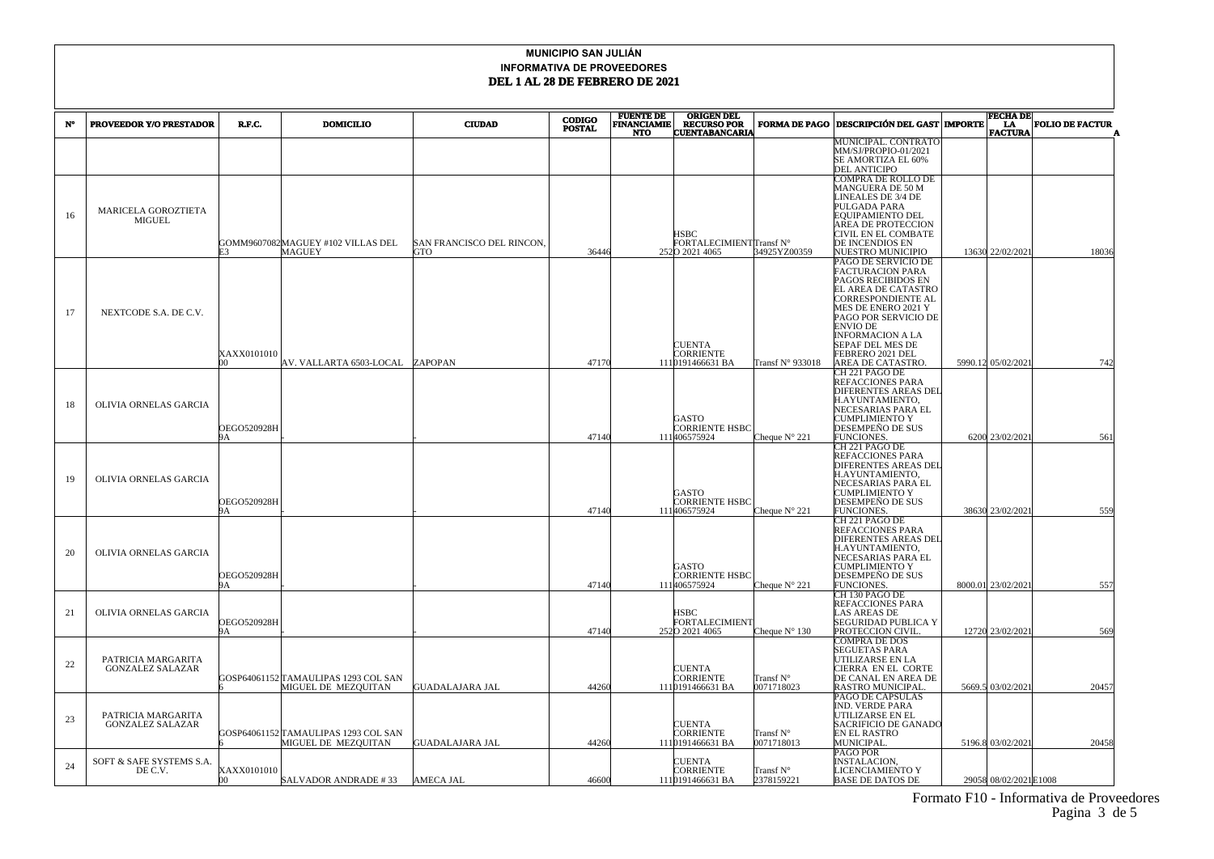|    | <b>PROVEEDOR Y/O PRESTADOR</b>                | R.F.C.                   | <b>DOMICILIO</b>                                            | <b>CIUDAD</b>                    | <b>CODIGO</b> | <b>FUENTE DE<br/>FINANCIAMIE</b> | <b>ORIGEN DEL</b><br><b>RECURSO POR</b>            | <b>FORMA DE PAGO</b>             | <b>DESCRIPCIÓN DEL GAST   IMPORTE</b>                                                                                                                                                                                                                                | <b>FECHA DE</b>       | <b>FOLIO DE FACTUR</b> |
|----|-----------------------------------------------|--------------------------|-------------------------------------------------------------|----------------------------------|---------------|----------------------------------|----------------------------------------------------|----------------------------------|----------------------------------------------------------------------------------------------------------------------------------------------------------------------------------------------------------------------------------------------------------------------|-----------------------|------------------------|
| N° |                                               |                          |                                                             |                                  | <b>POSTAL</b> | <b>NTO</b>                       | <b>CUENTABANCARIA</b>                              |                                  |                                                                                                                                                                                                                                                                      | LA.<br><b>FACTURA</b> |                        |
|    |                                               |                          |                                                             |                                  |               |                                  |                                                    |                                  | MUNICIPAL. CONTRATO<br>MM/SJ/PROPIO-01/2021<br>SE AMORTIZA EL 60%<br><b>DEL ANTICIPO</b>                                                                                                                                                                             |                       |                        |
| 16 | MARICELA GOROZTIETA<br><b>MIGUEL</b>          | F3                       | GOMM9607082MAGUEY #102 VILLAS DEL<br>MAGUEY                 | SAN FRANCISCO DEL RINCON.<br>GTO | 36446         |                                  | HSBC<br>FORTALECIMIENT Transf N°<br>2520 2021 4065 | 34925YZ00359                     | COMPRA DE ROLLO DE<br>MANGUERA DE 50 M<br>LINEALES DE 3/4 DE<br>PULGADA PARA<br>EQUIPAMIENTO DEL<br>AREA DE PROTECCION<br>CIVIL EN EL COMBATE<br>DE INCENDIOS EN<br>NUESTRO MUNICIPIO                                                                                | 13630 22/02/2021      | 18036                  |
| 17 | NEXTCODE S.A. DE C.V.                         | XAXX0101010<br>nn.       | AV. VALLARTA 6503-LOCAL ZAPOPAN                             |                                  | 47170         |                                  | <b>CUENTA</b><br>CORRIENTE<br>1110191466631 BA     | Transf N° 933018                 | PAGO DE SERVICIO DE<br>FACTURACION PARA<br>PAGOS RECIBIDOS EN<br>EL AREA DE CATASTRO<br>CORRESPONDIENTE AL<br>MES DE ENERO 2021 Y<br>PAGO POR SERVICIO DE<br><b>ENVIO DE</b><br><b>INFORMACION A LA</b><br>SEPAF DEL MES DE<br>FEBRERO 2021 DEL<br>AREA DE CATASTRO. | 5990.12 05/02/2021    | 742                    |
| 18 | OLIVIA ORNELAS GARCIA                         | OEGO520928H<br>9A        |                                                             |                                  | 47140         |                                  | GASTO<br>CORRIENTE HSBC<br>111406575924            | Cheque $N^{\circ}$ 221           | CH 221 PAGO DE<br><b>REFACCIONES PARA</b><br><b>DIFERENTES AREAS DEL</b><br>H.AYUNTAMIENTO.<br>NECESARIAS PARA EL<br><b>CUMPLIMIENTO Y</b><br>DESEMPEÑO DE SUS<br><b>FUNCIONES.</b>                                                                                  | 6200 23/02/2021       | 561                    |
| 19 | OLIVIA ORNELAS GARCIA                         | OEGO520928H              |                                                             |                                  | 47140         |                                  | GASTO<br><b>CORRIENTE HSBC</b><br>111406575924     | Cheque $N^{\circ}$ 221           | CH 221 PAGO DE<br>REFACCIONES PARA<br><b>DIFERENTES AREAS DEL</b><br>H.AYUNTAMIENTO,<br>NECESARIAS PARA EL<br><b>CUMPLIMIENTO Y</b><br>DESEMPEÑO DE SUS<br>FUNCIONES.                                                                                                | 38630 23/02/2021      | 559                    |
| 20 | OLIVIA ORNELAS GARCIA                         | OEGO520928H<br>ЮΑ.       |                                                             |                                  | 47140         |                                  | GASTO<br>CORRIENTE HSBC<br>111406575924            | Cheque $N^{\circ}$ 221           | CH 221 PAGO DE<br><b>REFACCIONES PARA</b><br>DIFERENTES AREAS DEL<br>H.AYUNTAMIENTO,<br>NECESARIAS PARA EL<br><b>CUMPLIMIENTO Y</b><br>DESEMPEÑO DE SUS<br>FUNCIONES.                                                                                                | 8000.01 23/02/2021    | 557                    |
| 21 | OLIVIA ORNELAS GARCIA                         | <b>DEGO520928H</b><br>9А |                                                             |                                  | 47140         |                                  | HSBC<br>FORTALECIMIENT<br>2520 2021 4065           | Cheque $N^{\circ}$ 130           | CH 130 PAGO DE<br><b>REFACCIONES PARA</b><br>LAS AREAS DE<br><b>SEGURIDAD PUBLICA Y</b><br>PROTECCION CIVIL.                                                                                                                                                         | 12720 23/02/2021      | 569                    |
| 22 | PATRICIA MARGARITA<br><b>GONZALEZ SALAZAR</b> |                          | GOSP64061152 TAMAULIPAS 1293 COL SAN<br>MIGUEL DE MEZQUITAN | <b>GUADALAJARA JAL</b>           | 44260         |                                  | <b>CUENTA</b><br>CORRIENTE<br>1110191466631 BA     | Transf N°<br>0071718023          | COMPRA DE DOS<br><b>SEGUETAS PARA</b><br>UTILIZARSE EN LA<br>CIERRA EN EL CORTE<br>DE CANAL EN AREA DE<br><b>RASTRO MUNICIPAL</b>                                                                                                                                    | 5669.5 03/02/2021     | 20457                  |
| 23 | PATRICIA MARGARITA<br><b>GONZALEZ SALAZAR</b> |                          | GOSP64061152 TAMAULIPAS 1293 COL SAN<br>MIGUEL DE MEZQUITAN | GUADALAJARA JAL                  | 44260         |                                  | CUENTA<br>CORRIENTE<br>1110191466631 BA            | Transf $N^{\circ}$<br>0071718013 | PAGO DE CAPSULAS<br>IND. VERDE PARA<br>UTILIZARSE EN EL<br>SACRIFICIO DE GANADO<br>EN EL RASTRO<br>MUNICIPAL.                                                                                                                                                        | 5196.8 03/02/2021     | 20458                  |
| 24 | SOFT & SAFE SYSTEMS S.A.<br>DE C.V.           | XAXX0101010<br>00.       | SALVADOR ANDRADE #33                                        | AMECA JAL                        | 46600         |                                  | <b>UENTA</b><br>CORRIENTE<br>1110191466631 BA      | Transf N°<br>2378159221          | PAGO POR<br>INSTALACION,<br>LICENCIAMIENTO Y<br><b>BASE DE DATOS DE</b>                                                                                                                                                                                              | 29058 08/02/2021E1008 |                        |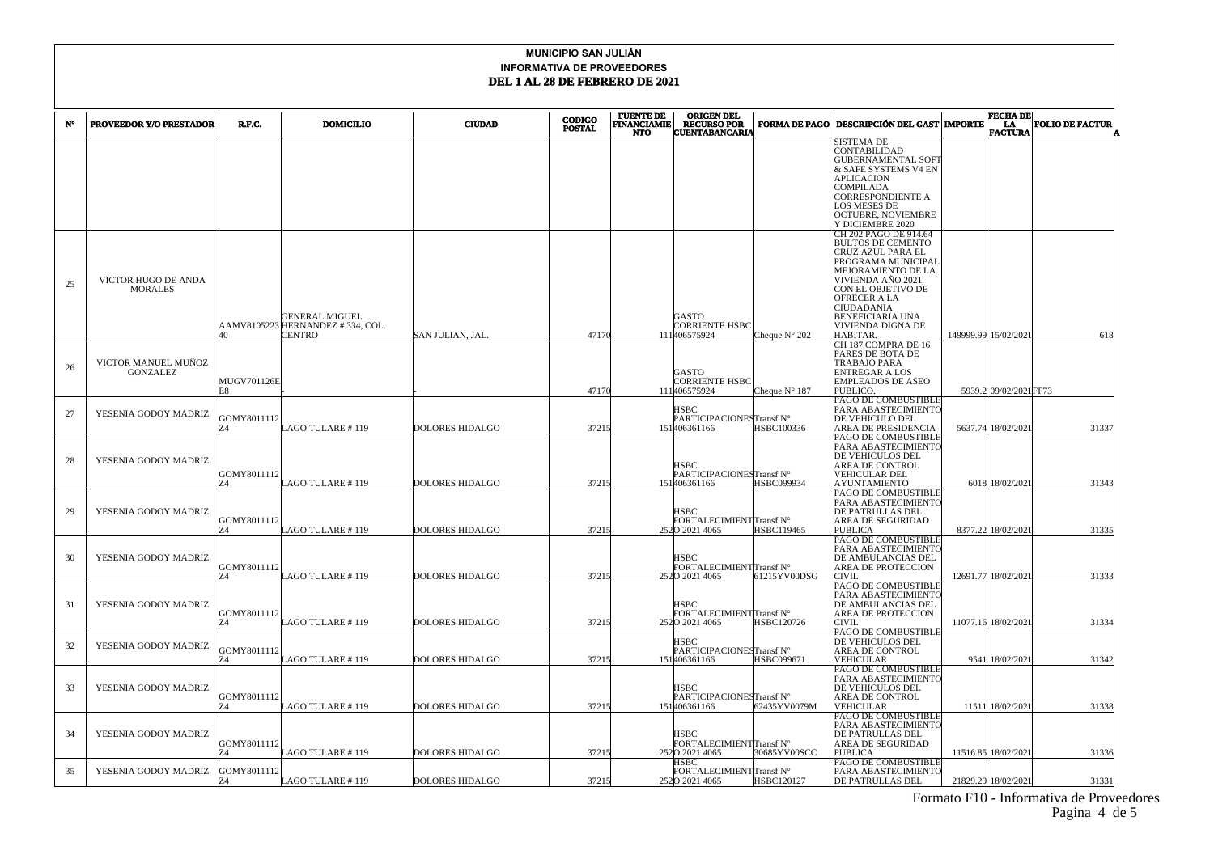|    |                                        |                   |                                   |                        | <b>CODIGO</b> | <b>FUENTE DE</b>                 | <b>ORIGEN DEL</b>                           |                        |                                                 | <b>FECHA DE</b>        |                        |
|----|----------------------------------------|-------------------|-----------------------------------|------------------------|---------------|----------------------------------|---------------------------------------------|------------------------|-------------------------------------------------|------------------------|------------------------|
| N° | PROVEEDOR Y/O PRESTADOR                | R.F.C.            | <b>DOMICILIO</b>                  | <b>CIUDAD</b>          | <b>POSTAL</b> | <b>FINANCIAMIE</b><br><b>NTO</b> | <b>RECURSO POR</b><br><b>CUENTABANCARIA</b> | <b>FORMA DE PAGO</b>   | <b>DESCRIPCIÓN DEL GAST MPORTE</b>              | LA<br><b>FACTURA</b>   | <b>FOLIO DE FACTUR</b> |
|    |                                        |                   |                                   |                        |               |                                  |                                             |                        | SISTEMA DE                                      |                        |                        |
|    |                                        |                   |                                   |                        |               |                                  |                                             |                        | CONTABILIDAD                                    |                        |                        |
|    |                                        |                   |                                   |                        |               |                                  |                                             |                        | <b>GUBERNAMENTAL SOFT</b>                       |                        |                        |
|    |                                        |                   |                                   |                        |               |                                  |                                             |                        | & SAFE SYSTEMS V4 EN                            |                        |                        |
|    |                                        |                   |                                   |                        |               |                                  |                                             |                        | <b>APLICACION</b>                               |                        |                        |
|    |                                        |                   |                                   |                        |               |                                  |                                             |                        | COMPILADA                                       |                        |                        |
|    |                                        |                   |                                   |                        |               |                                  |                                             |                        | CORRESPONDIENTE A                               |                        |                        |
|    |                                        |                   |                                   |                        |               |                                  |                                             |                        | LOS MESES DE<br>OCTUBRE, NOVIEMBRE              |                        |                        |
|    |                                        |                   |                                   |                        |               |                                  |                                             |                        | Y DICIEMBRE 2020                                |                        |                        |
|    |                                        |                   |                                   |                        |               |                                  |                                             |                        | CH 202 PAGO DE 914.64                           |                        |                        |
|    |                                        |                   |                                   |                        |               |                                  |                                             |                        | <b>BULTOS DE CEMENTO</b>                        |                        |                        |
|    |                                        |                   |                                   |                        |               |                                  |                                             |                        | CRUZ AZUL PARA EL                               |                        |                        |
|    |                                        |                   |                                   |                        |               |                                  |                                             |                        | PROGRAMA MUNICIPAI                              |                        |                        |
|    |                                        |                   |                                   |                        |               |                                  |                                             |                        | MEJORAMIENTO DE LA                              |                        |                        |
| 25 | VICTOR HUGO DE ANDA<br><b>MORALES</b>  |                   |                                   |                        |               |                                  |                                             |                        | VIVIENDA AÑO 2021,<br>CON EL OBJETIVO DE        |                        |                        |
|    |                                        |                   |                                   |                        |               |                                  |                                             |                        | OFRECER A LA                                    |                        |                        |
|    |                                        |                   |                                   |                        |               |                                  |                                             |                        | CIUDADANIA                                      |                        |                        |
|    |                                        |                   | <b>GENERAL MIGUEL</b>             |                        |               |                                  | GASTO                                       |                        | BENEFICIARIA UNA                                |                        |                        |
|    |                                        |                   | AAMV8105223 HERNANDEZ # 334, COL. |                        |               |                                  | CORRIENTE HSBC                              |                        | VIVIENDA DIGNA DE                               |                        |                        |
|    |                                        |                   | CENTRO                            | SAN JULIAN, JAL.       | 47170         |                                  | 111406575924                                | Cheque $N^{\circ}$ 202 | <b>HABITAR</b>                                  | 149999.99 15/02/2021   | 618                    |
|    |                                        |                   |                                   |                        |               |                                  |                                             |                        | CH 187 COMPRA DE 16                             |                        |                        |
|    |                                        |                   |                                   |                        |               |                                  |                                             |                        | PARES DE BOTA DE<br>TRABAJO PARA                |                        |                        |
| 26 | VICTOR MANUEL MUÑOZ<br><b>GONZALEZ</b> |                   |                                   |                        |               |                                  | GASTO                                       |                        | ENTREGAR A LOS                                  |                        |                        |
|    |                                        | MUGV701126E       |                                   |                        |               |                                  | CORRIENTE HSBC                              |                        | <b>EMPLEADOS DE ASEO</b>                        |                        |                        |
|    |                                        | F.8               |                                   |                        | 47170         |                                  | 111406575924                                | Cheque $N^{\circ}$ 187 | PUBLICO.                                        | 5939.2 09/02/2021 FF73 |                        |
|    |                                        |                   |                                   |                        |               |                                  |                                             |                        | PAGO DE COMBUSTIBLE                             |                        |                        |
| 27 | YESENIA GODOY MADRIZ                   |                   |                                   |                        |               |                                  | HSBC                                        |                        | PARA ABASTECIMIENTO                             |                        |                        |
|    |                                        | GOMY8011112       |                                   |                        |               |                                  | PARTICIPACIONESTransf N°                    |                        | DE VEHICULO DEL                                 |                        |                        |
|    |                                        |                   | AGO TULARE # 119                  | <b>DOLORES HIDALGO</b> | 37215         |                                  | 151406361166                                | HSBC100336             | AREA DE PRESIDENCIA                             | 5637.74 18/02/2021     | 31337                  |
|    |                                        |                   |                                   |                        |               |                                  |                                             |                        | PAGO DE COMBUSTIBLE                             |                        |                        |
|    |                                        |                   |                                   |                        |               |                                  |                                             |                        | PARA ABASTECIMIENTO<br>DE VEHICULOS DEL         |                        |                        |
| 28 | YESENIA GODOY MADRIZ                   |                   |                                   |                        |               |                                  | HSBC                                        |                        | AREA DE CONTROL                                 |                        |                        |
|    |                                        | GOMY8011112       |                                   |                        |               |                                  | PARTICIPACIONESTransf N°                    |                        | <b>VEHICULAR DEL</b>                            |                        |                        |
|    |                                        | 74                | LAGO TULARE # 119                 | <b>DOLORES HIDALGO</b> | 37215         |                                  | 151406361166                                | HSBC099934             | <b>AYUNTAMIENTO</b>                             | 6018 18/02/2021        | 31343                  |
|    |                                        |                   |                                   |                        |               |                                  |                                             |                        | PAGO DE COMBUSTIBLE                             |                        |                        |
|    |                                        |                   |                                   |                        |               |                                  |                                             |                        | PARA ABASTECIMIENTC                             |                        |                        |
| 29 | YESENIA GODOY MADRIZ                   |                   |                                   |                        |               |                                  | HSBC                                        |                        | DE PATRULLAS DEL                                |                        |                        |
|    |                                        | GOMY8011112<br>74 | LAGO TULARE #119                  | <b>DOLORES HIDALGO</b> | 37215         |                                  | FORTALECIMIENTTransf N°<br>2520 2021 4065   | HSBC119465             | AREA DE SEGURIDAD<br><b>PUBLICA</b>             | 8377.22 18/02/2021     | 31335                  |
|    |                                        |                   |                                   |                        |               |                                  |                                             |                        | PAGO DE COMBUSTIBLE                             |                        |                        |
|    |                                        |                   |                                   |                        |               |                                  |                                             |                        | PARA ABASTECIMIENTC                             |                        |                        |
| 30 | YESENIA GODOY MADRIZ                   |                   |                                   |                        |               |                                  | HSBC                                        |                        | DE AMBULANCIAS DEL                              |                        |                        |
|    |                                        | GOMY8011112       |                                   |                        |               |                                  | FORTALECIMIENTTransf N°                     |                        | AREA DE PROTECCION                              |                        |                        |
|    |                                        |                   | LAGO TULARE # 119                 | DOLORES HIDALGO        | 37215         |                                  | 2520 2021 4065                              | 61215YV00DSG           | CIVIL                                           | 12691.77 18/02/2021    | 31333                  |
|    |                                        |                   |                                   |                        |               |                                  |                                             |                        | PAGO DE COMBUSTIBLE                             |                        |                        |
|    |                                        |                   |                                   |                        |               |                                  |                                             |                        | PARA ABASTECIMIENTO                             |                        |                        |
| 31 | YESENIA GODOY MADRIZ                   | GOMY8011112       |                                   |                        |               |                                  | HSBC<br>FORTALECIMIENTTransf N°             |                        | DE AMBULANCIAS DEL<br><b>AREA DE PROTECCION</b> |                        |                        |
|    |                                        | 74                | AGO TULARE #119                   | <b>DOLORES HIDALGO</b> | 37215         |                                  | 2520 2021 4065                              | HSBC120726             | CIVIL                                           | 11077.16 18/02/2021    | 31334                  |
|    |                                        |                   |                                   |                        |               |                                  |                                             |                        | PAGO DE COMBUSTIBLE                             |                        |                        |
| 32 | YESENIA GODOY MADRIZ                   |                   |                                   |                        |               |                                  | HSBC                                        |                        | DE VEHICULOS DEL                                |                        |                        |
|    |                                        | GOMY8011112       |                                   |                        |               |                                  | PARTICIPACIONESTransf N°                    |                        | AREA DE CONTROL                                 |                        |                        |
|    |                                        |                   | AGO TULARE # 119                  | <b>DOLORES HIDALGO</b> | 37215         |                                  | 151406361166                                | <b>HSBC099671</b>      | VEHICULAR                                       | 9541 18/02/2021        | 31342                  |
|    |                                        |                   |                                   |                        |               |                                  |                                             |                        | PAGO DE COMBUSTIBLE                             |                        |                        |
| 33 | YESENIA GODOY MADRIZ                   |                   |                                   |                        |               |                                  | HSBC                                        |                        | PARA ABASTECIMIENTO<br>DE VEHICULOS DEL         |                        |                        |
|    |                                        | GOMY8011112       |                                   |                        |               |                                  | PARTICIPACIONESTransf N°                    |                        | AREA DE CONTROL                                 |                        |                        |
|    |                                        | 74                | AGO TULARE #119                   | <b>DOLORES HIDALGO</b> | 37215         |                                  | 151406361166                                | 62435YV0079M           | VEHICULAR                                       | 11511 18/02/2021       | 31338                  |
|    |                                        |                   |                                   |                        |               |                                  |                                             |                        | PAGO DE COMBUSTIBLE                             |                        |                        |
|    |                                        |                   |                                   |                        |               |                                  |                                             |                        | PARA ABASTECIMIENTO                             |                        |                        |
| 34 | YESENIA GODOY MADRIZ                   |                   |                                   |                        |               |                                  | HSBC                                        |                        | DE PATRULLAS DEL                                |                        |                        |
|    |                                        | GOMY8011112       |                                   |                        |               |                                  | FORTALECIMIENTTransf N°                     |                        | AREA DE SEGURIDAD                               |                        |                        |
|    |                                        |                   | AGO TULARE # 119.                 | DOLORES HIDALGO        | 37215         |                                  | 2520 2021 4065<br>ISBC                      | 30685YV00SCC           | <b>PUBLICA</b><br>PAGO DE COMBUSTIBLE           | 11516.85 18/02/2021    | 31336                  |
| 35 | YESENIA GODOY MADRIZ                   | GOMY8011112       |                                   |                        |               |                                  | FORTALECIMIENTITransf $\mathrm{N}^\circ$    |                        | PARA ABASTECIMIENTC                             |                        |                        |
|    |                                        |                   | LAGO TULARE #119                  | <b>DOLORES HIDALGO</b> | 37215         |                                  | 2520 2021 4065                              | HSBC120127             | DE PATRULLAS DEL                                | 21829.29 18/02/2021    | 31331                  |
|    |                                        |                   |                                   |                        |               |                                  |                                             |                        |                                                 |                        |                        |

 Formato F10 - Informativa de Proveedores Pagina 4 de 5